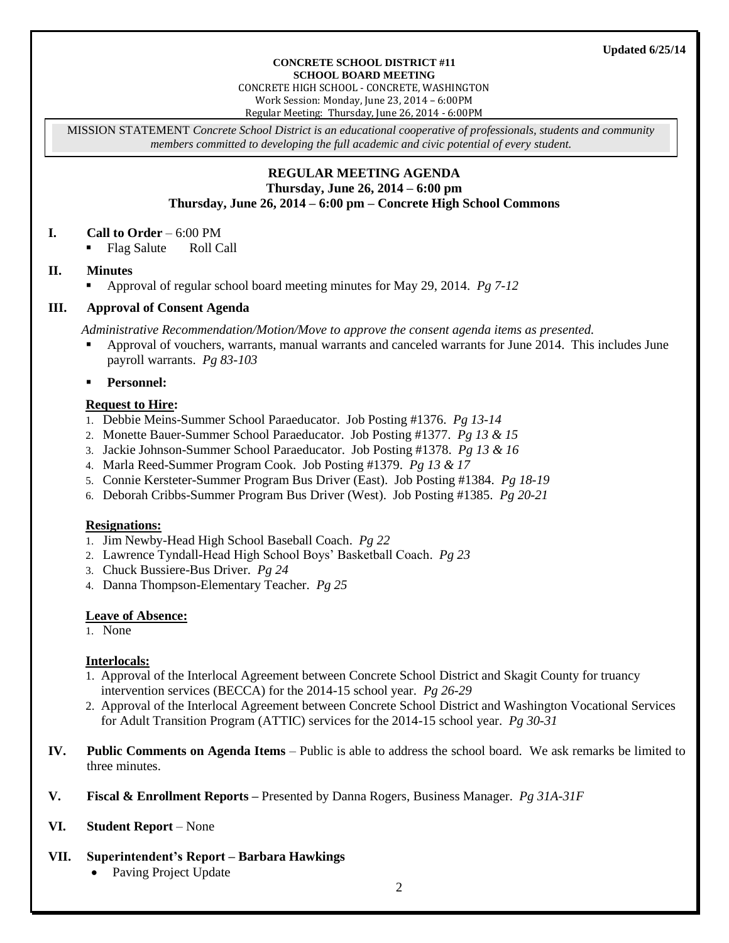#### **CONCRETE SCHOOL DISTRICT #11 SCHOOL BOARD MEETING**

CONCRETE HIGH SCHOOL - CONCRETE, WASHINGTON

Work Session: Monday, June 23, 2014 – 6:00PM Regular Meeting: Thursday, June 26, 2014 - 6:00PM

MISSION STATEMENT *Concrete School District is an educational cooperative of professionals, students and community members committed to developing the full academic and civic potential of every student.*

### **REGULAR MEETING AGENDA Thursday, June 26, 2014 – 6:00 pm Thursday, June 26, 2014 – 6:00 pm – Concrete High School Commons**

### **I. Call to Order** – 6:00 PM

• Flag Salute Roll Call

### **II. Minutes**

Approval of regular school board meeting minutes for May 29, 2014. *Pg 7-12*

### **III. Approval of Consent Agenda**

*Administrative Recommendation/Motion/Move to approve the consent agenda items as presented.*

- Approval of vouchers, warrants, manual warrants and canceled warrants for June 2014. This includes June payroll warrants. *Pg 83-103*
- **Personnel:**

#### **Request to Hire:**

- 1. Debbie Meins-Summer School Paraeducator. Job Posting #1376. *Pg 13-14*
- 2. Monette Bauer-Summer School Paraeducator. Job Posting #1377. *Pg 13 & 15*
- 3. Jackie Johnson-Summer School Paraeducator. Job Posting #1378. *Pg 13 & 16*
- 4. Marla Reed-Summer Program Cook. Job Posting #1379. *Pg 13 & 17*
- 5. Connie Kersteter-Summer Program Bus Driver (East). Job Posting #1384. *Pg 18-19*
- 6. Deborah Cribbs-Summer Program Bus Driver (West). Job Posting #1385. *Pg 20-21*

#### **Resignations:**

- 1. Jim Newby-Head High School Baseball Coach. *Pg 22*
- 2. Lawrence Tyndall-Head High School Boys' Basketball Coach. *Pg 23*
- 3. Chuck Bussiere-Bus Driver. *Pg 24*
- 4. Danna Thompson-Elementary Teacher. *Pg 25*

### **Leave of Absence:**

#### 1. None

### **Interlocals:**

- 1. Approval of the Interlocal Agreement between Concrete School District and Skagit County for truancy intervention services (BECCA) for the 2014-15 school year. *Pg 26-29*
- 2. Approval of the Interlocal Agreement between Concrete School District and Washington Vocational Services for Adult Transition Program (ATTIC) services for the 2014-15 school year. *Pg 30-31*
- **IV. Public Comments on Agenda Items** Public is able to address the school board. We ask remarks be limited to three minutes.
- **V. Fiscal & Enrollment Reports –** Presented by Danna Rogers, Business Manager. *Pg 31A-31F*

### **VI. Student Report** – None

# **VII. Superintendent's Report – Barbara Hawkings**

Paving Project Update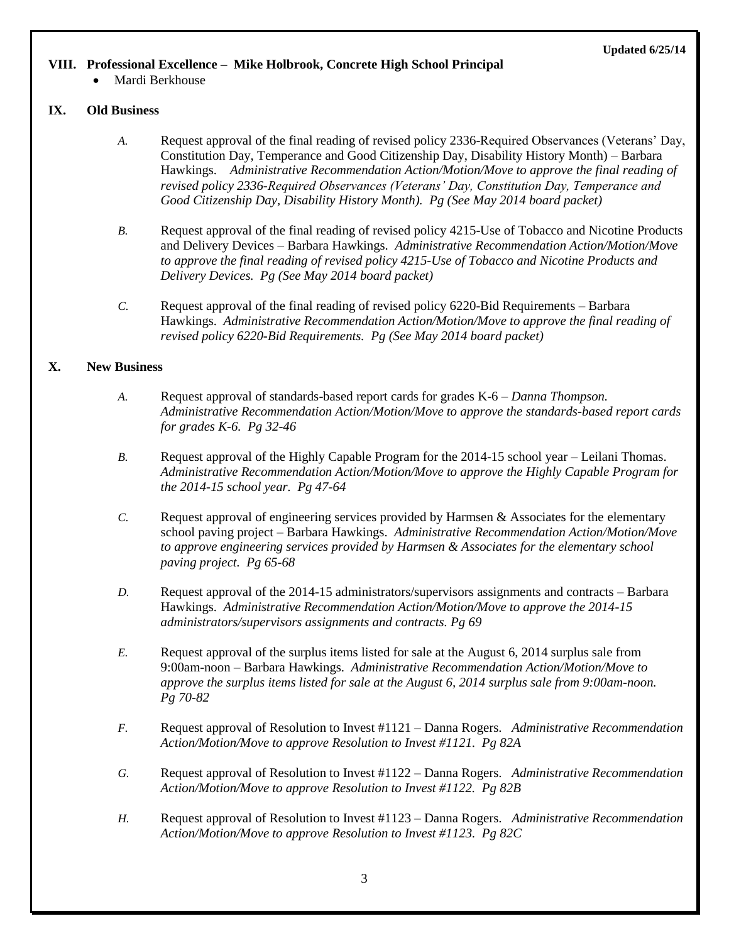#### **Updated 6/25/14**

#### **VIII. Professional Excellence – Mike Holbrook, Concrete High School Principal**

Mardi Berkhouse

#### **IX. Old Business**

- *A.* Request approval of the final reading of revised policy 2336-Required Observances (Veterans' Day, Constitution Day, Temperance and Good Citizenship Day, Disability History Month) – Barbara Hawkings. *Administrative Recommendation Action/Motion/Move to approve the final reading of revised policy 2336-Required Observances (Veterans' Day, Constitution Day, Temperance and Good Citizenship Day, Disability History Month). Pg (See May 2014 board packet)*
- *B.* Request approval of the final reading of revised policy 4215-Use of Tobacco and Nicotine Products and Delivery Devices – Barbara Hawkings. *Administrative Recommendation Action/Motion/Move to approve the final reading of revised policy 4215-Use of Tobacco and Nicotine Products and Delivery Devices. Pg (See May 2014 board packet)*
- *C.* Request approval of the final reading of revised policy 6220-Bid Requirements Barbara Hawkings. *Administrative Recommendation Action/Motion/Move to approve the final reading of revised policy 6220-Bid Requirements. Pg (See May 2014 board packet)*

#### **X. New Business**

- *A.* Request approval of standards-based report cards for grades K-6 *– Danna Thompson. Administrative Recommendation Action/Motion/Move to approve the standards-based report cards for grades K-6. Pg 32-46*
- *B.* Request approval of the Highly Capable Program for the 2014-15 school year Leilani Thomas. *Administrative Recommendation Action/Motion/Move to approve the Highly Capable Program for the 2014-15 school year. Pg 47-64*
- *C.* Request approval of engineering services provided by Harmsen & Associates for the elementary school paving project – Barbara Hawkings. *Administrative Recommendation Action/Motion/Move to approve engineering services provided by Harmsen & Associates for the elementary school paving project. Pg 65-68*
- *D.* Request approval of the 2014-15 administrators/supervisors assignments and contracts Barbara Hawkings. *Administrative Recommendation Action/Motion/Move to approve the 2014-15 administrators/supervisors assignments and contracts. Pg 69*
- *E.* Request approval of the surplus items listed for sale at the August 6, 2014 surplus sale from 9:00am-noon – Barbara Hawkings. *Administrative Recommendation Action/Motion/Move to approve the surplus items listed for sale at the August 6, 2014 surplus sale from 9:00am-noon. Pg 70-82*
- *F.* Request approval of Resolution to Invest #1121 Danna Rogers. *Administrative Recommendation Action/Motion/Move to approve Resolution to Invest #1121. Pg 82A*
- *G.* Request approval of Resolution to Invest #1122 Danna Rogers. *Administrative Recommendation Action/Motion/Move to approve Resolution to Invest #1122. Pg 82B*
- *H.* Request approval of Resolution to Invest #1123 Danna Rogers. *Administrative Recommendation Action/Motion/Move to approve Resolution to Invest #1123. Pg 82C*